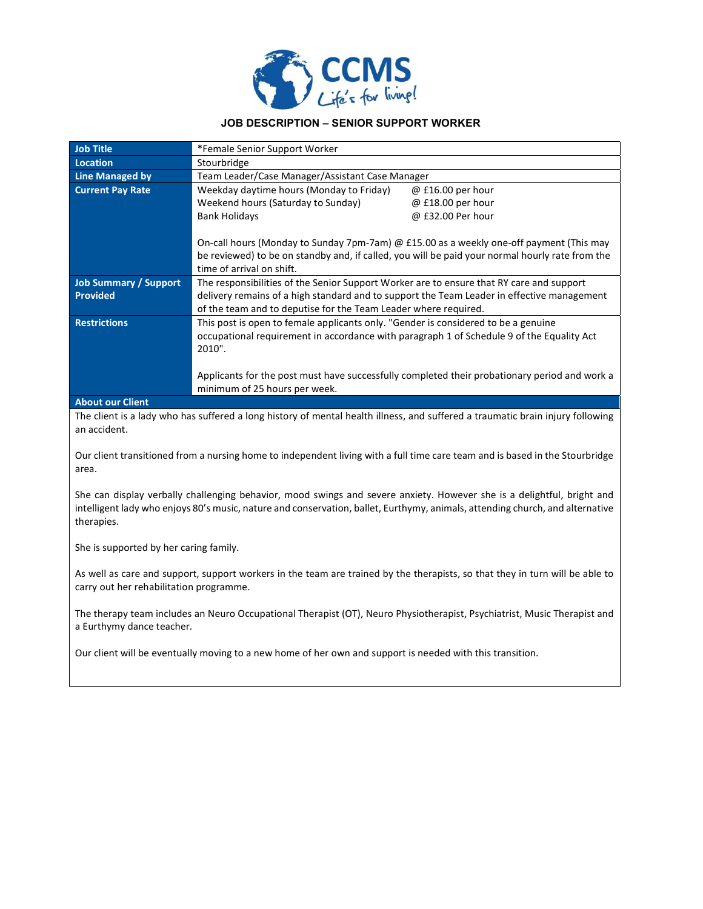

## JOB DESCRIPTION – SENIOR SUPPORT WORKER

| <b>Job Title</b>             | *Female Senior Support Worker                                                              |                                                                                                 |  |
|------------------------------|--------------------------------------------------------------------------------------------|-------------------------------------------------------------------------------------------------|--|
| <b>Location</b>              | Stourbridge                                                                                |                                                                                                 |  |
| <b>Line Managed by</b>       | Team Leader/Case Manager/Assistant Case Manager                                            |                                                                                                 |  |
| <b>Current Pay Rate</b>      | Weekday daytime hours (Monday to Friday)                                                   | $@$ £16.00 per hour                                                                             |  |
|                              | Weekend hours (Saturday to Sunday)                                                         | @ £18.00 per hour                                                                               |  |
|                              | <b>Bank Holidays</b>                                                                       | @ £32.00 Per hour                                                                               |  |
|                              |                                                                                            |                                                                                                 |  |
|                              | On-call hours (Monday to Sunday 7pm-7am) @ £15.00 as a weekly one-off payment (This may    |                                                                                                 |  |
|                              |                                                                                            | be reviewed) to be on standby and, if called, you will be paid your normal hourly rate from the |  |
|                              | time of arrival on shift.                                                                  |                                                                                                 |  |
| <b>Job Summary / Support</b> | The responsibilities of the Senior Support Worker are to ensure that RY care and support   |                                                                                                 |  |
| <b>Provided</b>              | delivery remains of a high standard and to support the Team Leader in effective management |                                                                                                 |  |
|                              | of the team and to deputise for the Team Leader where required.                            |                                                                                                 |  |
| <b>Restrictions</b>          | This post is open to female applicants only. "Gender is considered to be a genuine         |                                                                                                 |  |
|                              | occupational requirement in accordance with paragraph 1 of Schedule 9 of the Equality Act  |                                                                                                 |  |
|                              | 2010".                                                                                     |                                                                                                 |  |
|                              |                                                                                            |                                                                                                 |  |
|                              |                                                                                            | Applicants for the post must have successfully completed their probationary period and work a   |  |
|                              | minimum of 25 hours per week.                                                              |                                                                                                 |  |
| Ahout our Client             |                                                                                            |                                                                                                 |  |

#### About our Client

The client is a lady who has suffered a long history of mental health illness, and suffered a traumatic brain injury following an accident.

Our client transitioned from a nursing home to independent living with a full time care team and is based in the Stourbridge area.

She can display verbally challenging behavior, mood swings and severe anxiety. However she is a delightful, bright and intelligent lady who enjoys 80's music, nature and conservation, ballet, Eurthymy, animals, attending church, and alternative therapies.

She is supported by her caring family.

As well as care and support, support workers in the team are trained by the therapists, so that they in turn will be able to carry out her rehabilitation programme.

The therapy team includes an Neuro Occupational Therapist (OT), Neuro Physiotherapist, Psychiatrist, Music Therapist and a Eurthymy dance teacher.

Our client will be eventually moving to a new home of her own and support is needed with this transition.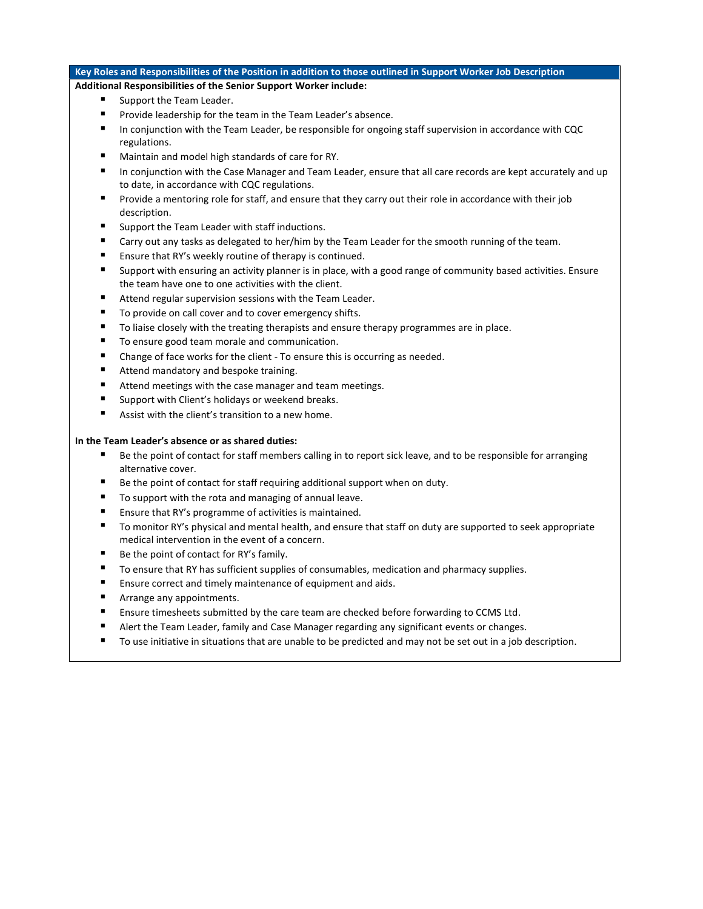# Key Roles and Responsibilities of the Position in addition to those outlined in Support Worker Job Description

## Additional Responsibilities of the Senior Support Worker include:

- **Support the Team Leader.**
- **Provide leadership for the team in the Team Leader's absence.**
- In conjunction with the Team Leader, be responsible for ongoing staff supervision in accordance with CQC regulations.
- Maintain and model high standards of care for RY.
- In conjunction with the Case Manager and Team Leader, ensure that all care records are kept accurately and up to date, in accordance with CQC regulations.
- Provide a mentoring role for staff, and ensure that they carry out their role in accordance with their job description.
- Support the Team Leader with staff inductions.
- Carry out any tasks as delegated to her/him by the Team Leader for the smooth running of the team.
- Ensure that RY's weekly routine of therapy is continued.
- Support with ensuring an activity planner is in place, with a good range of community based activities. Ensure the team have one to one activities with the client.
- Attend regular supervision sessions with the Team Leader.
- To provide on call cover and to cover emergency shifts.
- To liaise closely with the treating therapists and ensure therapy programmes are in place.
- To ensure good team morale and communication.
- Change of face works for the client To ensure this is occurring as needed.
- Attend mandatory and bespoke training.
- Attend meetings with the case manager and team meetings.
- Support with Client's holidays or weekend breaks.
- Assist with the client's transition to a new home.

#### In the Team Leader's absence or as shared duties:

- Be the point of contact for staff members calling in to report sick leave, and to be responsible for arranging alternative cover.
- Be the point of contact for staff requiring additional support when on duty.
- To support with the rota and managing of annual leave.
- Ensure that RY's programme of activities is maintained.
- To monitor RY's physical and mental health, and ensure that staff on duty are supported to seek appropriate medical intervention in the event of a concern.
- Be the point of contact for RY's family.
- To ensure that RY has sufficient supplies of consumables, medication and pharmacy supplies.
- Ensure correct and timely maintenance of equipment and aids.
- Arrange any appointments.
- Ensure timesheets submitted by the care team are checked before forwarding to CCMS Ltd.
- Alert the Team Leader, family and Case Manager regarding any significant events or changes.
- To use initiative in situations that are unable to be predicted and may not be set out in a job description.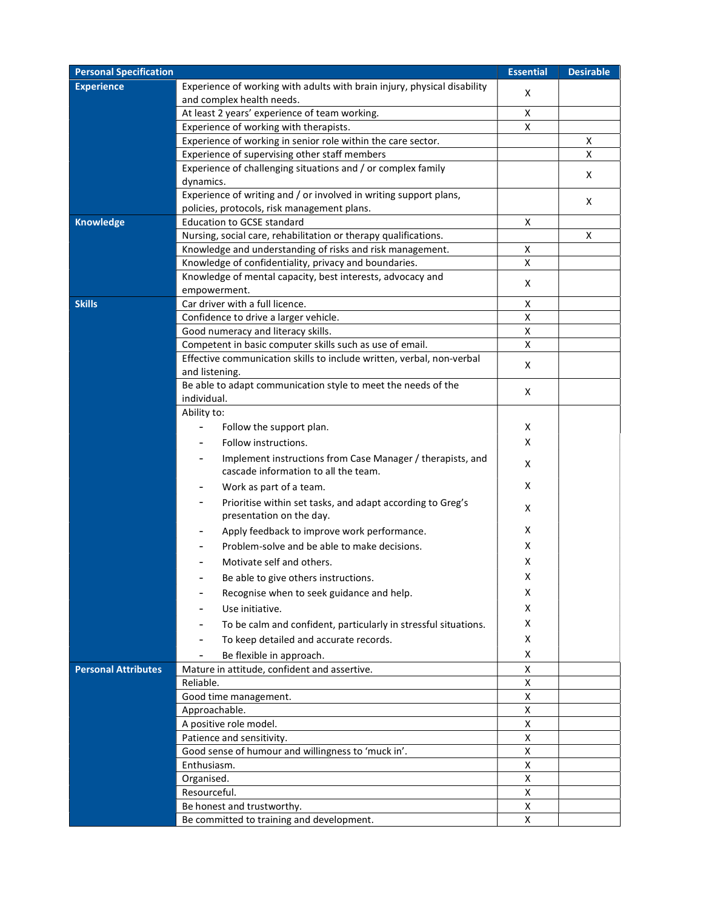| <b>Personal Specification</b> |                                                                                                                  | <b>Essential</b> | <b>Desirable</b> |
|-------------------------------|------------------------------------------------------------------------------------------------------------------|------------------|------------------|
| <b>Experience</b>             | Experience of working with adults with brain injury, physical disability<br>and complex health needs.            | х                |                  |
|                               | At least 2 years' experience of team working.                                                                    | х                |                  |
|                               | Experience of working with therapists.                                                                           | X                |                  |
|                               | Experience of working in senior role within the care sector.                                                     |                  | х                |
|                               | Experience of supervising other staff members                                                                    |                  | х                |
|                               | Experience of challenging situations and / or complex family<br>dynamics.                                        |                  | х                |
|                               | Experience of writing and / or involved in writing support plans,<br>policies, protocols, risk management plans. |                  | х                |
| <b>Knowledge</b>              | <b>Education to GCSE standard</b>                                                                                | х                |                  |
|                               | Nursing, social care, rehabilitation or therapy qualifications.                                                  |                  | х                |
|                               | Knowledge and understanding of risks and risk management.                                                        | X                |                  |
|                               | Knowledge of confidentiality, privacy and boundaries.                                                            | X                |                  |
|                               | Knowledge of mental capacity, best interests, advocacy and                                                       |                  |                  |
|                               | empowerment.                                                                                                     | X                |                  |
| <b>Skills</b>                 | Car driver with a full licence.                                                                                  | X                |                  |
|                               | Confidence to drive a larger vehicle.                                                                            | X                |                  |
|                               | Good numeracy and literacy skills.                                                                               | X                |                  |
|                               | Competent in basic computer skills such as use of email.                                                         | X                |                  |
|                               | Effective communication skills to include written, verbal, non-verbal                                            |                  |                  |
|                               | and listening.                                                                                                   | X                |                  |
|                               | Be able to adapt communication style to meet the needs of the<br>individual.                                     | X                |                  |
|                               | Ability to:                                                                                                      |                  |                  |
|                               | Follow the support plan.                                                                                         | х                |                  |
|                               | Follow instructions.                                                                                             | x                |                  |
|                               | Implement instructions from Case Manager / therapists, and                                                       | х                |                  |
|                               | cascade information to all the team.                                                                             |                  |                  |
|                               | Work as part of a team.                                                                                          | х                |                  |
|                               | Prioritise within set tasks, and adapt according to Greg's<br>presentation on the day.                           | X                |                  |
|                               | Apply feedback to improve work performance.                                                                      | х                |                  |
|                               | Problem-solve and be able to make decisions.                                                                     | х                |                  |
|                               | Motivate self and others.                                                                                        | х                |                  |
|                               | Be able to give others instructions.                                                                             | х                |                  |
|                               |                                                                                                                  | х                |                  |
|                               | Recognise when to seek guidance and help.                                                                        | X                |                  |
|                               | Use initiative.                                                                                                  |                  |                  |
|                               | To be calm and confident, particularly in stressful situations.                                                  | х                |                  |
|                               | To keep detailed and accurate records.                                                                           | X                |                  |
|                               | Be flexible in approach.                                                                                         | X                |                  |
| <b>Personal Attributes</b>    | Mature in attitude, confident and assertive.                                                                     | Χ                |                  |
|                               | Reliable.                                                                                                        | X                |                  |
|                               | Good time management.                                                                                            | X                |                  |
|                               | Approachable.                                                                                                    | X                |                  |
|                               | A positive role model.                                                                                           | X                |                  |
|                               | Patience and sensitivity.                                                                                        | X                |                  |
|                               | Good sense of humour and willingness to 'muck in'.                                                               | X                |                  |
|                               | Enthusiasm.                                                                                                      | x                |                  |
|                               | Organised.                                                                                                       | x                |                  |
|                               | Resourceful.                                                                                                     | X                |                  |
|                               | Be honest and trustworthy.                                                                                       | X                |                  |
|                               | Be committed to training and development.                                                                        | X                |                  |